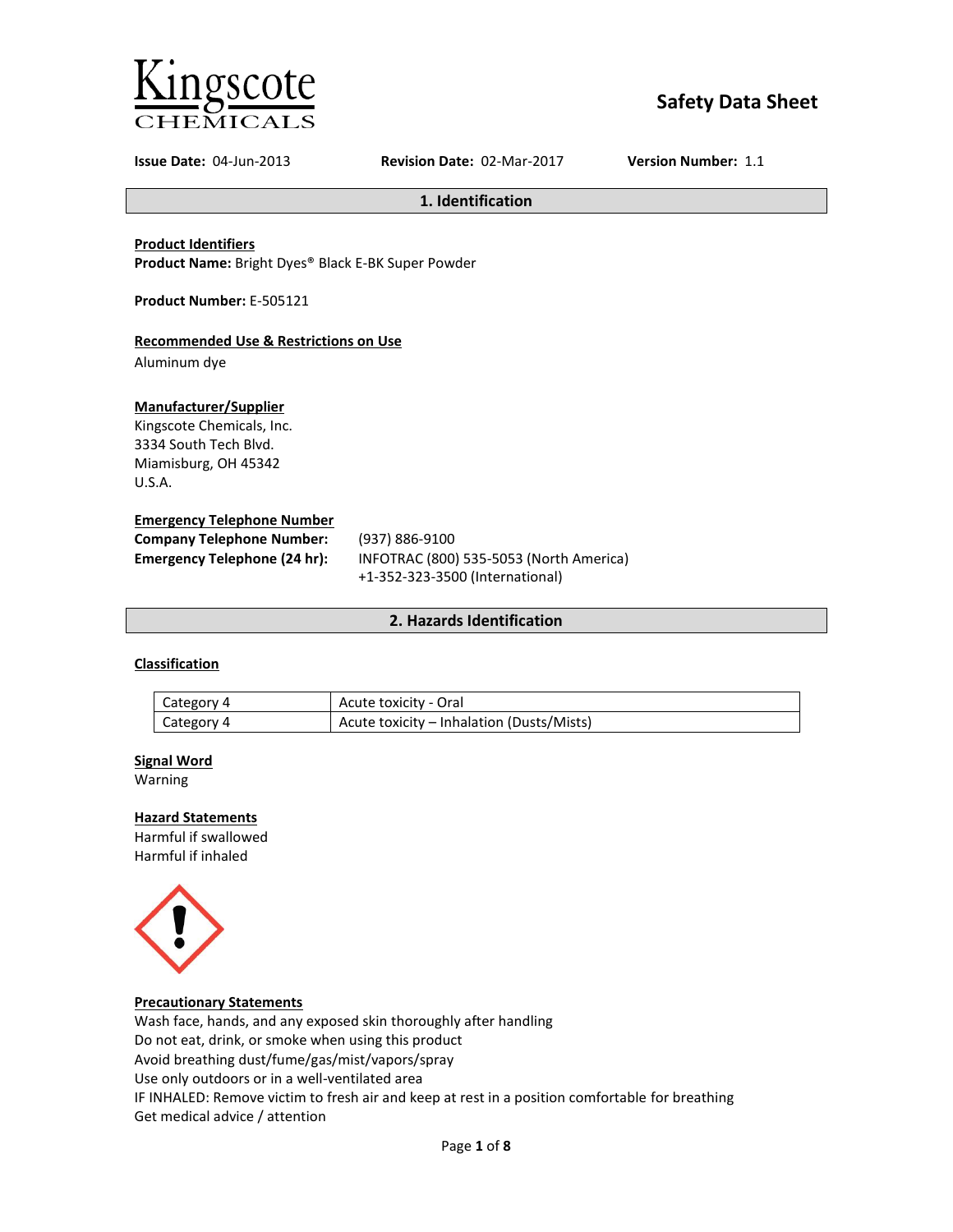

# **Safety Data Sheet**

**Issue Date:** 04-Jun-2013 **Revision Date:** 02-Mar-2017 **Version Number:** 1.1

**1. Identification**

**Product Identifiers**

**Product Name:** Bright Dyes® Black E-BK Super Powder

**Product Number:** E-505121

## **Recommended Use & Restrictions on Use**

Aluminum dye

## **Manufacturer/Supplier**

Kingscote Chemicals, Inc. 3334 South Tech Blvd. Miamisburg, OH 45342 U.S.A.

## **Emergency Telephone Number**

| <b>Company Telephone Number:</b> | (937) 886-9100                          |
|----------------------------------|-----------------------------------------|
| Emergency Telephone (24 hr):     | INFOTRAC (800) 535-5053 (North America) |
|                                  | +1-352-323-3500 (International)         |

## **2. Hazards Identification**

## **Classification**

| Category 4 | Acute toxicity - Oral                     |
|------------|-------------------------------------------|
| Category 4 | Acute toxicity – Inhalation (Dusts/Mists) |

### **Signal Word**

Warning

## **Hazard Statements**

Harmful if swallowed Harmful if inhaled



### **Precautionary Statements**

Wash face, hands, and any exposed skin thoroughly after handling Do not eat, drink, or smoke when using this product Avoid breathing dust/fume/gas/mist/vapors/spray Use only outdoors or in a well-ventilated area IF INHALED: Remove victim to fresh air and keep at rest in a position comfortable for breathing Get medical advice / attention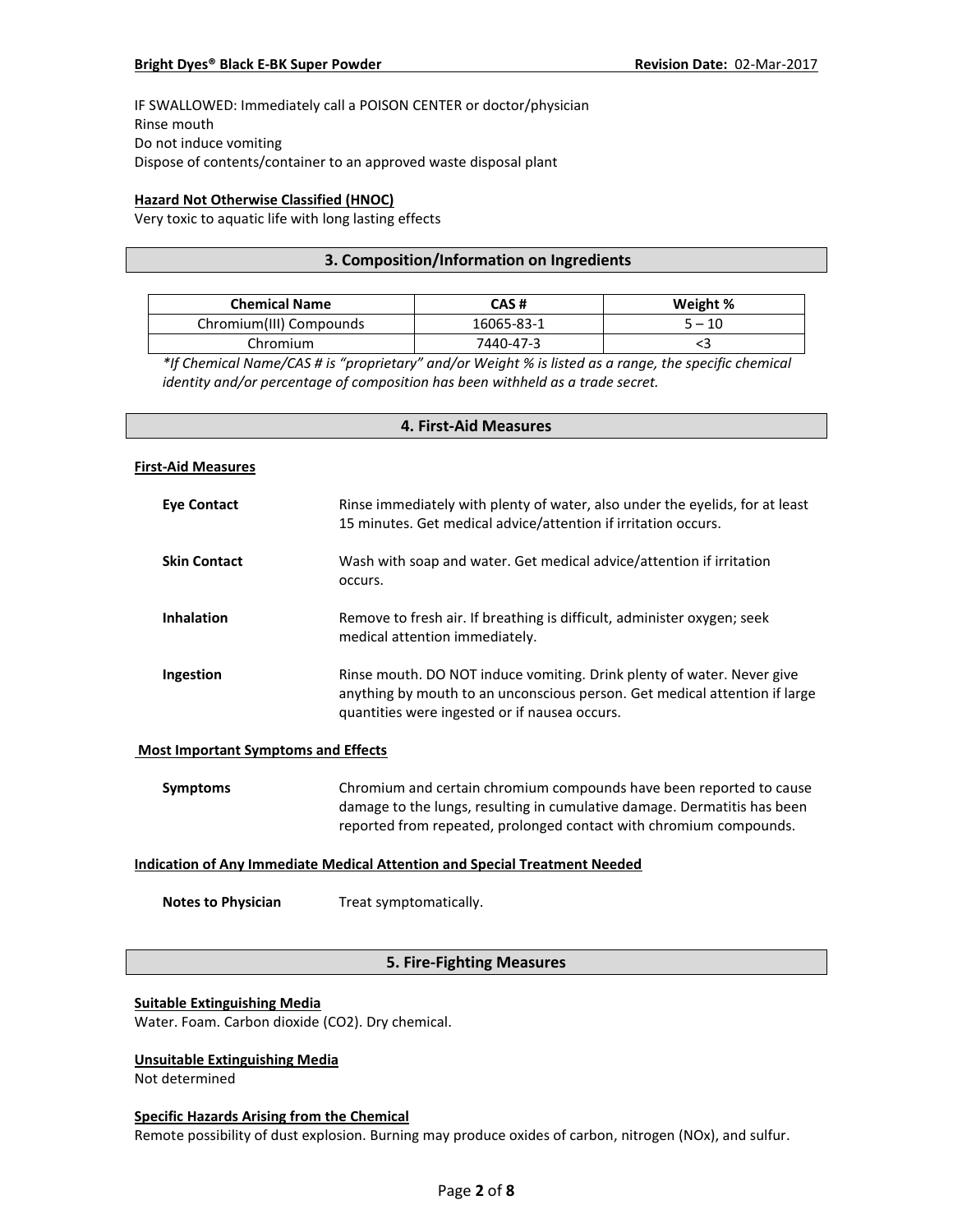IF SWALLOWED: Immediately call a POISON CENTER or doctor/physician Rinse mouth Do not induce vomiting Dispose of contents/container to an approved waste disposal plant

## **Hazard Not Otherwise Classified (HNOC)**

Very toxic to aquatic life with long lasting effects

## **3. Composition/Information on Ingredients**

| <b>Chemical Name</b>    | CAS #      | Weight % |
|-------------------------|------------|----------|
| Chromium(III) Compounds | 16065-83-1 | $5 - 10$ |
| Chromium                | 7440-47-3  |          |

*\*If Chemical Name/CAS # is "proprietary" and/or Weight % is listed as a range, the specific chemical identity and/or percentage of composition has been withheld as a trade secret.*

# **4. First-Aid Measures**

#### **First-Aid Measures**

| Eye Contact         | Rinse immediately with plenty of water, also under the eyelids, for at least<br>15 minutes. Get medical advice/attention if irritation occurs.                                                        |
|---------------------|-------------------------------------------------------------------------------------------------------------------------------------------------------------------------------------------------------|
| <b>Skin Contact</b> | Wash with soap and water. Get medical advice/attention if irritation<br>occurs.                                                                                                                       |
| <b>Inhalation</b>   | Remove to fresh air. If breathing is difficult, administer oxygen; seek<br>medical attention immediately.                                                                                             |
| Ingestion           | Rinse mouth. DO NOT induce vomiting. Drink plenty of water. Never give<br>anything by mouth to an unconscious person. Get medical attention if large<br>quantities were ingested or if nausea occurs. |

### **Most Important Symptoms and Effects**

| Symptoms | Chromium and certain chromium compounds have been reported to cause      |
|----------|--------------------------------------------------------------------------|
|          | damage to the lungs, resulting in cumulative damage. Dermatitis has been |
|          | reported from repeated, prolonged contact with chromium compounds.       |

## **Indication of Any Immediate Medical Attention and Special Treatment Needed**

**Notes to Physician** Treat symptomatically.

## **5. Fire-Fighting Measures**

#### **Suitable Extinguishing Media**

Water. Foam. Carbon dioxide (CO2). Dry chemical.

## **Unsuitable Extinguishing Media**

Not determined

#### **Specific Hazards Arising from the Chemical**

Remote possibility of dust explosion. Burning may produce oxides of carbon, nitrogen (NOx), and sulfur.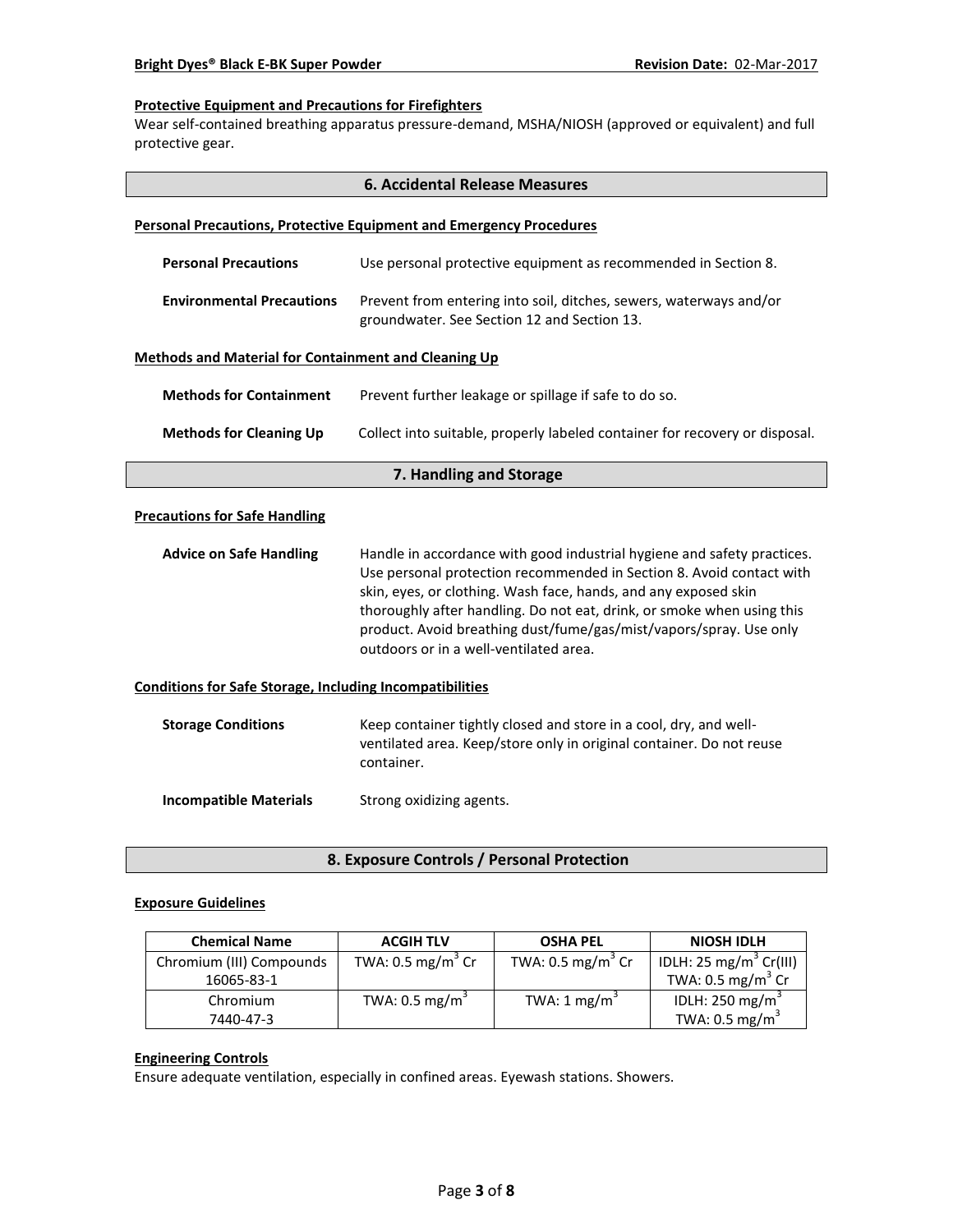## **Protective Equipment and Precautions for Firefighters**

Wear self-contained breathing apparatus pressure-demand, MSHA/NIOSH (approved or equivalent) and full protective gear.

|                                                                 | <b>6. Accidental Release Measures</b>                                                                                                                                                                                                                                                                                                                                                                        |  |  |  |
|-----------------------------------------------------------------|--------------------------------------------------------------------------------------------------------------------------------------------------------------------------------------------------------------------------------------------------------------------------------------------------------------------------------------------------------------------------------------------------------------|--|--|--|
|                                                                 | <b>Personal Precautions, Protective Equipment and Emergency Procedures</b>                                                                                                                                                                                                                                                                                                                                   |  |  |  |
| <b>Personal Precautions</b>                                     | Use personal protective equipment as recommended in Section 8.                                                                                                                                                                                                                                                                                                                                               |  |  |  |
| <b>Environmental Precautions</b>                                | Prevent from entering into soil, ditches, sewers, waterways and/or<br>groundwater. See Section 12 and Section 13.                                                                                                                                                                                                                                                                                            |  |  |  |
| <b>Methods and Material for Containment and Cleaning Up</b>     |                                                                                                                                                                                                                                                                                                                                                                                                              |  |  |  |
| <b>Methods for Containment</b>                                  | Prevent further leakage or spillage if safe to do so.                                                                                                                                                                                                                                                                                                                                                        |  |  |  |
| <b>Methods for Cleaning Up</b>                                  | Collect into suitable, properly labeled container for recovery or disposal.                                                                                                                                                                                                                                                                                                                                  |  |  |  |
| 7. Handling and Storage                                         |                                                                                                                                                                                                                                                                                                                                                                                                              |  |  |  |
| <b>Precautions for Safe Handling</b>                            |                                                                                                                                                                                                                                                                                                                                                                                                              |  |  |  |
| <b>Advice on Safe Handling</b>                                  | Handle in accordance with good industrial hygiene and safety practices.<br>Use personal protection recommended in Section 8. Avoid contact with<br>skin, eyes, or clothing. Wash face, hands, and any exposed skin<br>thoroughly after handling. Do not eat, drink, or smoke when using this<br>product. Avoid breathing dust/fume/gas/mist/vapors/spray. Use only<br>outdoors or in a well-ventilated area. |  |  |  |
| <b>Conditions for Safe Storage, Including Incompatibilities</b> |                                                                                                                                                                                                                                                                                                                                                                                                              |  |  |  |
| <b>Storage Conditions</b>                                       | Keep container tightly closed and store in a cool, dry, and well-<br>ventilated area. Keep/store only in original container. Do not reuse<br>container.                                                                                                                                                                                                                                                      |  |  |  |
| <b>Incompatible Materials</b>                                   | Strong oxidizing agents.                                                                                                                                                                                                                                                                                                                                                                                     |  |  |  |

**8. Exposure Controls / Personal Protection**

## **Exposure Guidelines**

| <b>Chemical Name</b>     | <b>ACGIH TLV</b>             | <b>OSHA PEL</b>              | <b>NIOSH IDLH</b>                  |
|--------------------------|------------------------------|------------------------------|------------------------------------|
| Chromium (III) Compounds | TWA: $0.5 \text{ mg/m}^3$ Cr | TWA: $0.5 \text{ mg/m}^3$ Cr | IDLH: 25 mg/m <sup>3</sup> Cr(III) |
| 16065-83-1               |                              |                              | TWA: $0.5 \text{ mg/m}^3$ Cr       |
| Chromium                 | TWA: $0.5 \text{ mg/m}^3$    | TWA: $1 \text{ mg/m}^3$      | IDLH: 250 mg/m <sup>3</sup>        |
| 7440-47-3                |                              |                              | TWA: $0.5 \text{ mg/m}^3$          |

## **Engineering Controls**

Ensure adequate ventilation, especially in confined areas. Eyewash stations. Showers.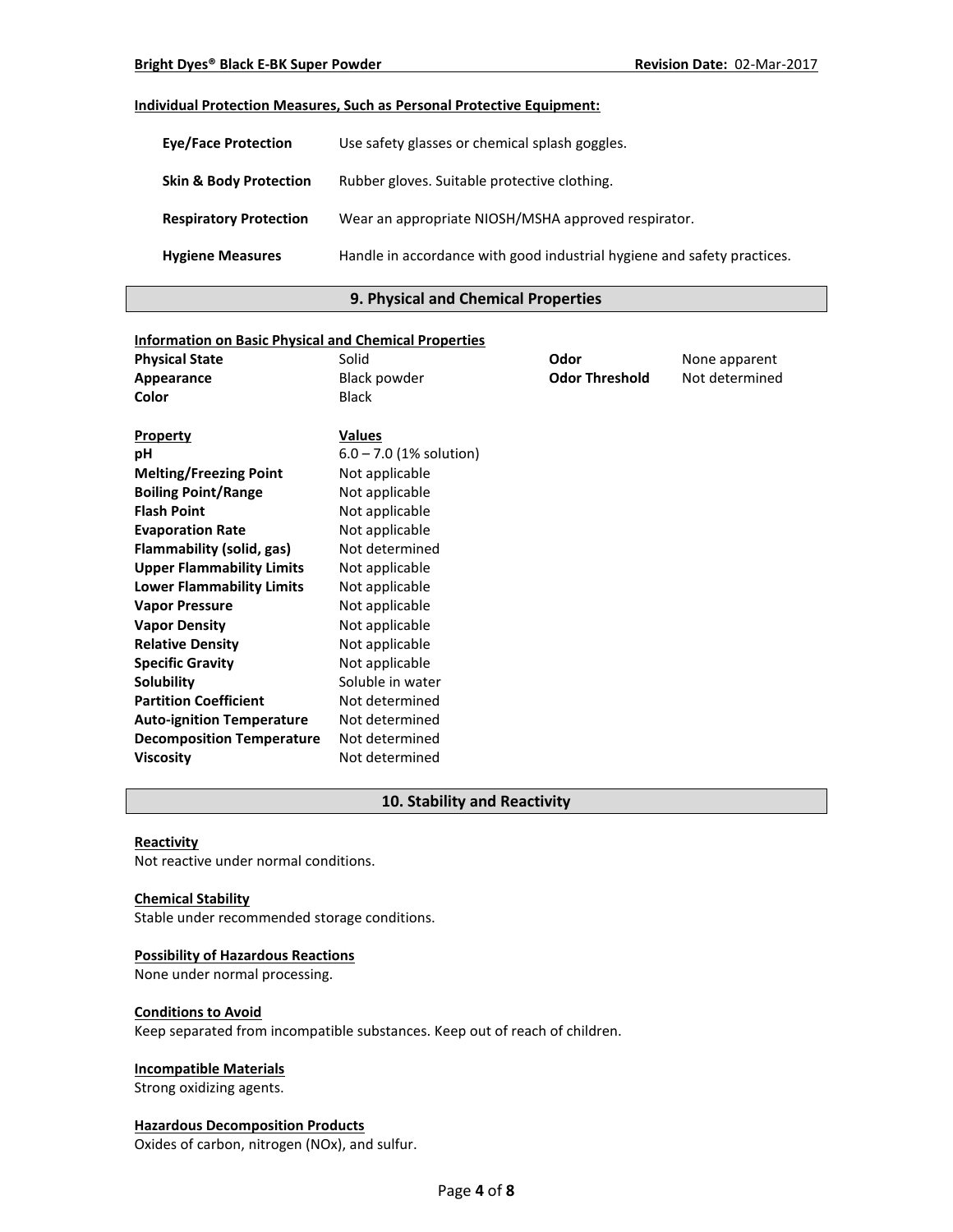## **Individual Protection Measures, Such as Personal Protective Equipment:**

| <b>Eve/Face Protection</b>        | Use safety glasses or chemical splash goggles.                          |
|-----------------------------------|-------------------------------------------------------------------------|
| <b>Skin &amp; Body Protection</b> | Rubber gloves. Suitable protective clothing.                            |
| <b>Respiratory Protection</b>     | Wear an appropriate NIOSH/MSHA approved respirator.                     |
| <b>Hygiene Measures</b>           | Handle in accordance with good industrial hygiene and safety practices. |

## **9. Physical and Chemical Properties**

| <b>Information on Basic Physical and Chemical Properties</b> |                           |                       |                |
|--------------------------------------------------------------|---------------------------|-----------------------|----------------|
| <b>Physical State</b>                                        | Solid                     | Odor                  | None apparent  |
| Appearance                                                   | <b>Black powder</b>       | <b>Odor Threshold</b> | Not determined |
| Color                                                        | <b>Black</b>              |                       |                |
|                                                              |                           |                       |                |
| <b>Property</b>                                              | <b>Values</b>             |                       |                |
| рH                                                           | $6.0 - 7.0$ (1% solution) |                       |                |
| <b>Melting/Freezing Point</b>                                | Not applicable            |                       |                |
| <b>Boiling Point/Range</b>                                   | Not applicable            |                       |                |
| <b>Flash Point</b>                                           | Not applicable            |                       |                |
| <b>Evaporation Rate</b>                                      | Not applicable            |                       |                |
| Flammability (solid, gas)                                    | Not determined            |                       |                |
| <b>Upper Flammability Limits</b>                             | Not applicable            |                       |                |
| <b>Lower Flammability Limits</b>                             | Not applicable            |                       |                |
| <b>Vapor Pressure</b>                                        | Not applicable            |                       |                |
| <b>Vapor Density</b>                                         | Not applicable            |                       |                |
| <b>Relative Density</b>                                      | Not applicable            |                       |                |
| <b>Specific Gravity</b>                                      | Not applicable            |                       |                |
| Solubility                                                   | Soluble in water          |                       |                |
| <b>Partition Coefficient</b>                                 | Not determined            |                       |                |
| <b>Auto-ignition Temperature</b>                             | Not determined            |                       |                |
| <b>Decomposition Temperature</b>                             | Not determined            |                       |                |
| <b>Viscosity</b>                                             | Not determined            |                       |                |

## **10. Stability and Reactivity**

#### **Reactivity**

Not reactive under normal conditions.

#### **Chemical Stability**

Stable under recommended storage conditions.

## **Possibility of Hazardous Reactions**

None under normal processing.

#### **Conditions to Avoid**

Keep separated from incompatible substances. Keep out of reach of children.

## **Incompatible Materials**

Strong oxidizing agents.

## **Hazardous Decomposition Products**

Oxides of carbon, nitrogen (NOx), and sulfur.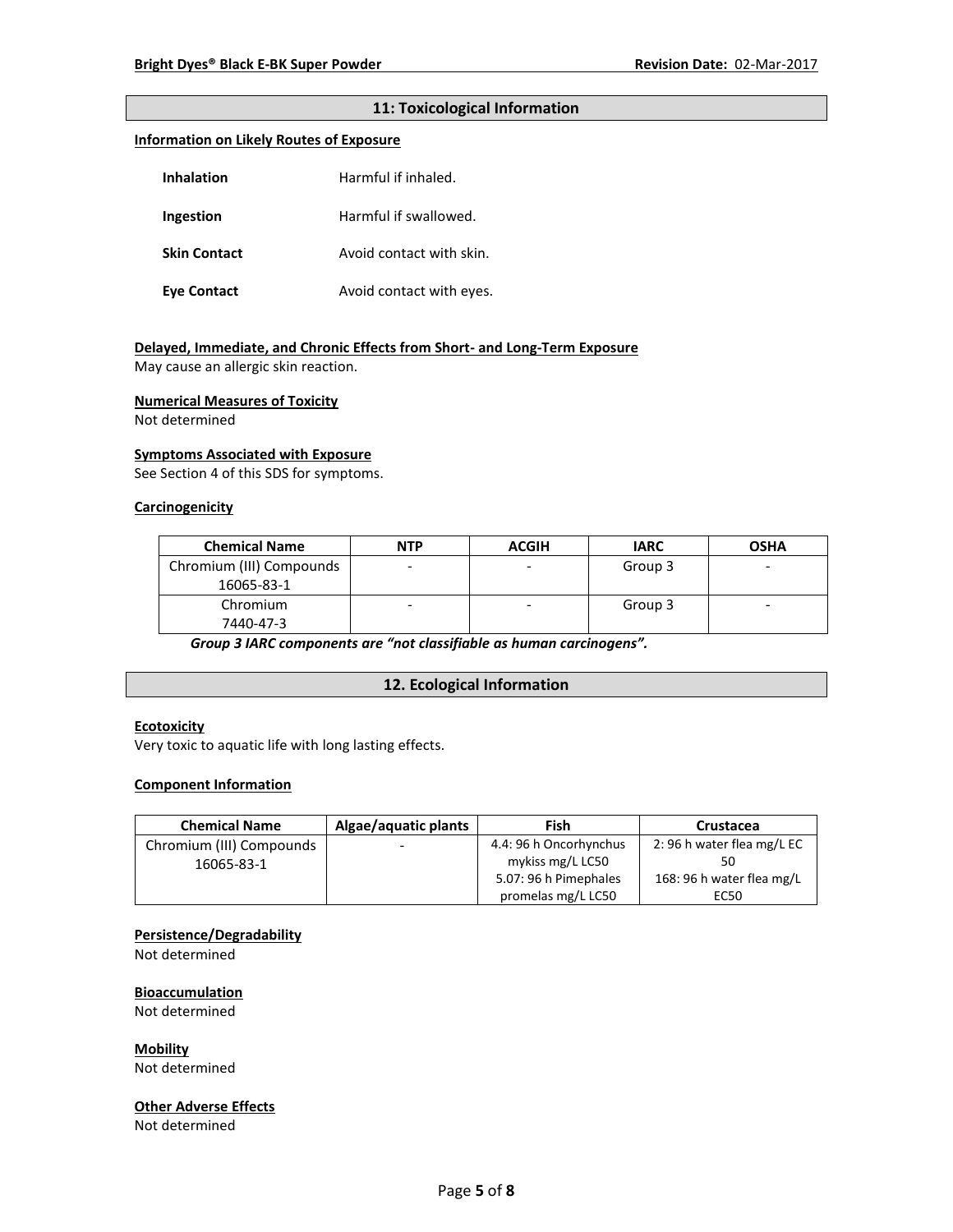## **11: Toxicological Information**

#### **Information on Likely Routes of Exposure**

| Inhalation          | Harmful if inhaled.      |  |
|---------------------|--------------------------|--|
| Ingestion           | Harmful if swallowed.    |  |
| <b>Skin Contact</b> | Avoid contact with skin. |  |
| <b>Eve Contact</b>  | Avoid contact with eyes. |  |

#### **Delayed, Immediate, and Chronic Effects from Short- and Long-Term Exposure**

May cause an allergic skin reaction.

#### **Numerical Measures of Toxicity**

Not determined

#### **Symptoms Associated with Exposure**

See Section 4 of this SDS for symptoms.

#### **Carcinogenicity**

| <b>Chemical Name</b>     | <b>NTP</b> | <b>ACGIH</b> | <b>IARC</b> | <b>OSHA</b> |
|--------------------------|------------|--------------|-------------|-------------|
| Chromium (III) Compounds |            |              | Group 3     | -           |
| 16065-83-1               |            |              |             |             |
| Chromium                 |            |              | Group 3     |             |
| 7440-47-3                |            |              |             |             |

*Group 3 IARC components are "not classifiable as human carcinogens".*

#### **12. Ecological Information**

## **Ecotoxicity**

Very toxic to aquatic life with long lasting effects.

#### **Component Information**

| <b>Chemical Name</b>     | Algae/aquatic plants | Fish                   | Crustacea                 |
|--------------------------|----------------------|------------------------|---------------------------|
| Chromium (III) Compounds | -                    | 4.4: 96 h Oncorhynchus | 2:96 h water flea mg/L EC |
| 16065-83-1               |                      | mykiss mg/L LC50       |                           |
|                          |                      | 5.07: 96 h Pimephales  | 168: 96 h water flea mg/L |
|                          |                      | promelas mg/L LC50     | EC50                      |

#### **Persistence/Degradability**

Not determined

### **Bioaccumulation**

Not determined

#### **Mobility**

Not determined

### **Other Adverse Effects**

Not determined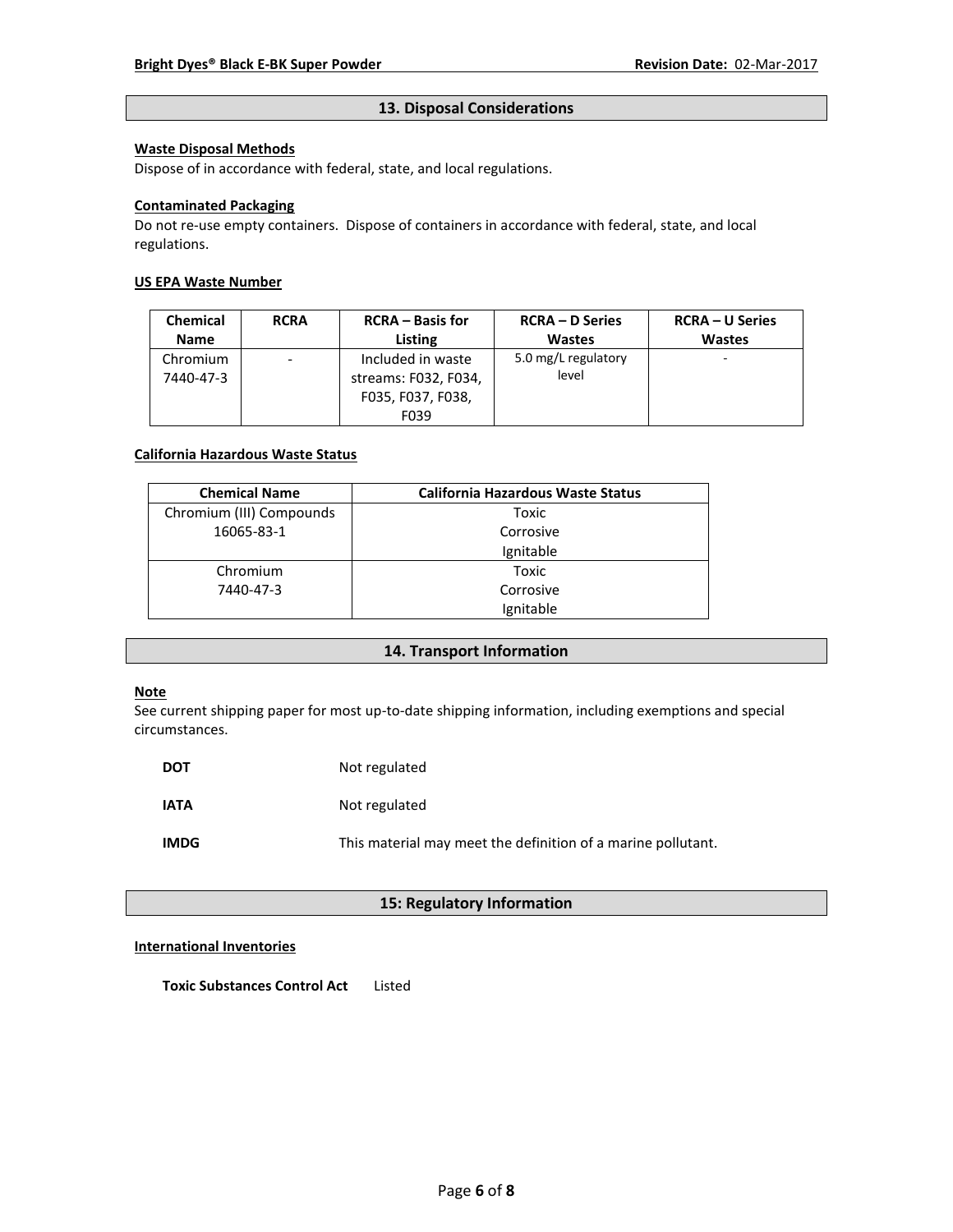## **13. Disposal Considerations**

## **Waste Disposal Methods**

Dispose of in accordance with federal, state, and local regulations.

### **Contaminated Packaging**

Do not re-use empty containers.Dispose of containers in accordance with federal, state, and local regulations.

## **US EPA Waste Number**

| <b>Chemical</b> | <b>RCRA</b>                  | <b>RCRA</b> – Basis for | <b>RCRA – D Series</b> | <b>RCRA – U Series</b> |
|-----------------|------------------------------|-------------------------|------------------------|------------------------|
| <b>Name</b>     |                              | Listing                 | <b>Wastes</b>          | <b>Wastes</b>          |
| Chromium        | $\qquad \qquad \blacksquare$ | Included in waste       | 5.0 mg/L regulatory    | -                      |
| 7440-47-3       |                              | streams: F032, F034,    | level                  |                        |
|                 |                              | F035, F037, F038,       |                        |                        |
|                 |                              | F039                    |                        |                        |

### **California Hazardous Waste Status**

| <b>Chemical Name</b>     | <b>California Hazardous Waste Status</b> |
|--------------------------|------------------------------------------|
| Chromium (III) Compounds | Toxic                                    |
| 16065-83-1               | Corrosive                                |
|                          | Ignitable                                |
| Chromium                 | Toxic                                    |
| 7440-47-3                | Corrosive                                |
|                          | Ignitable                                |

## **14. Transport Information**

## **Note**

See current shipping paper for most up-to-date shipping information, including exemptions and special circumstances.

| <b>DOT</b>  | Not regulated                                                |
|-------------|--------------------------------------------------------------|
| <b>IATA</b> | Not regulated                                                |
| <b>IMDG</b> | This material may meet the definition of a marine pollutant. |

## **15: Regulatory Information**

## **International Inventories**

**Toxic Substances Control Act** Listed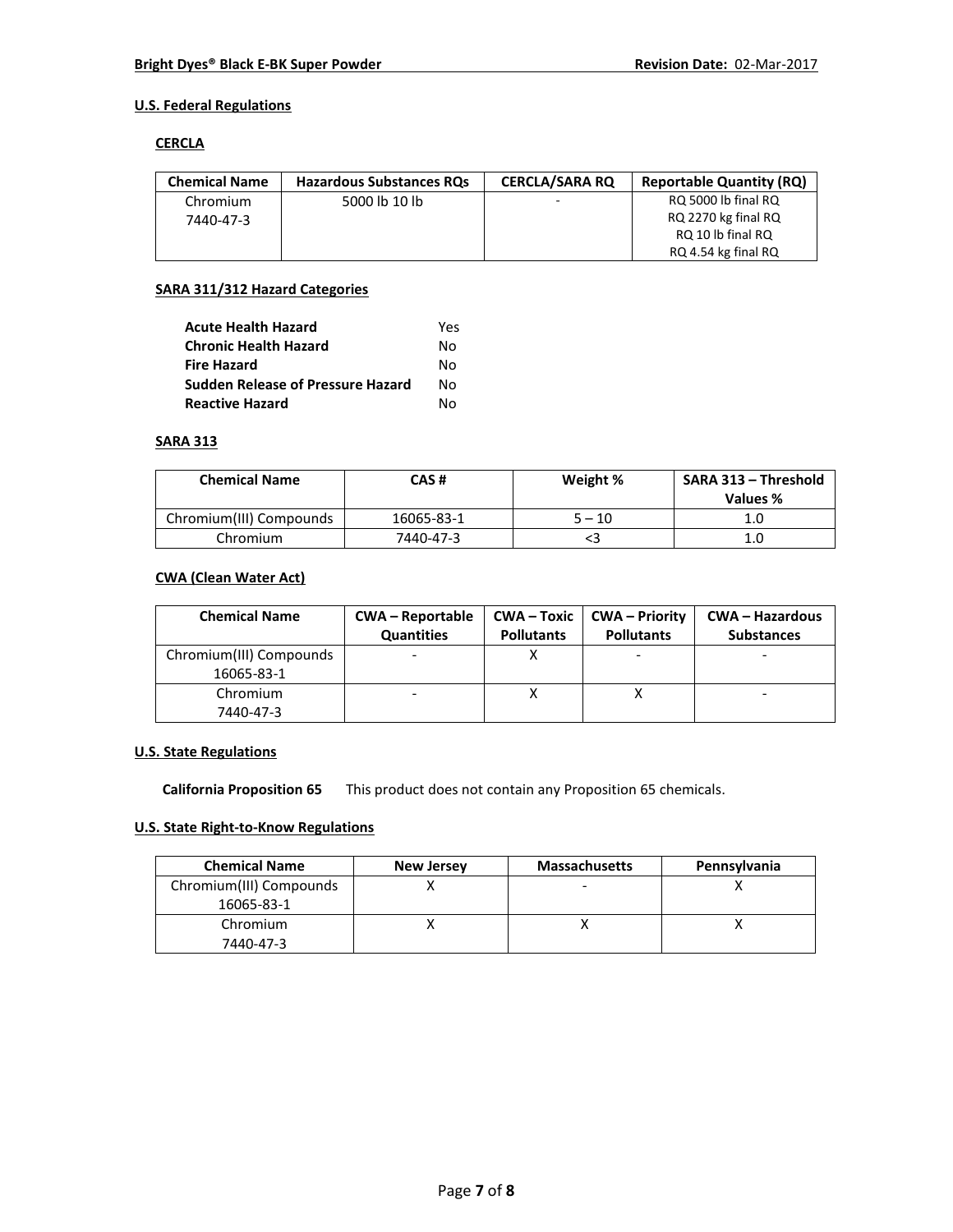## **U.S. Federal Regulations**

### **CERCLA**

| <b>Chemical Name</b> | <b>Hazardous Substances ROs</b> | <b>CERCLA/SARA RO</b>    | <b>Reportable Quantity (RQ)</b> |
|----------------------|---------------------------------|--------------------------|---------------------------------|
| Chromium             | 5000 lb 10 lb                   | $\overline{\phantom{a}}$ | RQ 5000 lb final RQ             |
| 7440-47-3            |                                 |                          | RQ 2270 kg final RQ             |
|                      |                                 |                          | RQ 10 lb final RQ               |
|                      |                                 |                          | RQ 4.54 kg final RQ             |

## **SARA 311/312 Hazard Categories**

| <b>Acute Health Hazard</b>               | Yes |
|------------------------------------------|-----|
| <b>Chronic Health Hazard</b>             | N٥  |
| <b>Fire Hazard</b>                       | N٥  |
| <b>Sudden Release of Pressure Hazard</b> | N٥  |
| <b>Reactive Hazard</b>                   | N٥  |

## **SARA 313**

| <b>Chemical Name</b>    | CAS #      | Weight % | SARA 313 - Threshold<br>Values % |
|-------------------------|------------|----------|----------------------------------|
| Chromium(III) Compounds | 16065-83-1 | 5 – 10   | 1.C                              |
| Chromium                | 7440-47-3  |          | 1.C                              |

## **CWA (Clean Water Act)**

| <b>Chemical Name</b>    | <b>CWA - Reportable</b><br><b>Quantities</b> | <b>Pollutants</b> | <b>CWA-Toxic   CWA-Priority</b><br><b>Pollutants</b> | <b>CWA - Hazardous</b><br><b>Substances</b> |
|-------------------------|----------------------------------------------|-------------------|------------------------------------------------------|---------------------------------------------|
| Chromium(III) Compounds |                                              |                   |                                                      |                                             |
| 16065-83-1              |                                              |                   |                                                      |                                             |
| Chromium                |                                              |                   |                                                      |                                             |
| 7440-47-3               |                                              |                   |                                                      |                                             |

## **U.S. State Regulations**

**California Proposition 65** This product does not contain any Proposition 65 chemicals.

# **U.S. State Right-to-Know Regulations**

| <b>Chemical Name</b>    | <b>New Jersey</b> | <b>Massachusetts</b> | Pennsylvania |
|-------------------------|-------------------|----------------------|--------------|
| Chromium(III) Compounds |                   |                      |              |
| 16065-83-1              |                   |                      |              |
| Chromium                |                   |                      |              |
| 7440-47-3               |                   |                      |              |